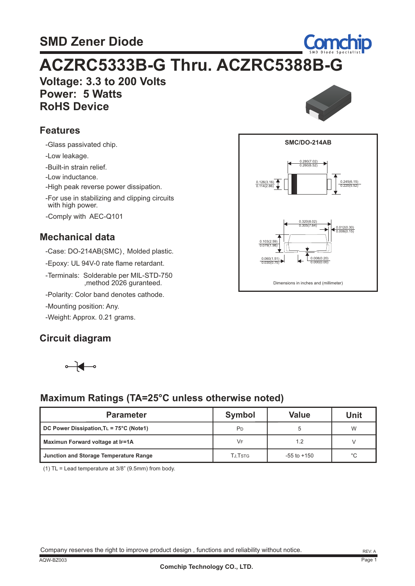### **SMD Zener Diode**

# **Voltage: 3.3 to 200 Volts ACZRC5333B-G Thru. ACZRC5388B-G**

 **Power: 5 Watts RoHS Device**

#### **Features**

-Glass passivated chip.

-Low leakage.

-Built-in strain relief.

-Low inductance.

-High peak reverse power dissipation.

with high power. -For use in stabilizing and clipping circuits

-Comply with AEC-Q101

#### **Mechanical data**

-Case: DO-214AB(SMC), Molded plastic.

-Epoxy: UL 94V-0 rate flame retardant.

-Terminals: Solderable per MIL-STD-750 ,method 2026 guranteed.

-Polarity: Color band denotes cathode.

-Mounting position: Any.

-Weight: Approx. 0.21 grams.

#### **Circuit diagram**



#### **Maximum Ratings (TA=25°C unless otherwise noted)**

| <b>Parameter</b>                                | <b>Symbol</b>  | <b>Value</b>    | Unit |
|-------------------------------------------------|----------------|-----------------|------|
| $\vert$ DC Power Dissipation, TL = 75°C (Note1) | PD             |                 | W    |
| Maximun Forward voltage at IF=1A                | VF             | 1.2             |      |
| Junction and Storage Temperature Range          | <b>TJ.TSTG</b> | $-55$ to $+150$ | °C   |

(1) TL = Lead temperature at 3/8" (9.5mm) from body.

|  |  | Company reserves the right to improve product design, functions and reliability without notice. |
|--|--|-------------------------------------------------------------------------------------------------|



**Comchip** 

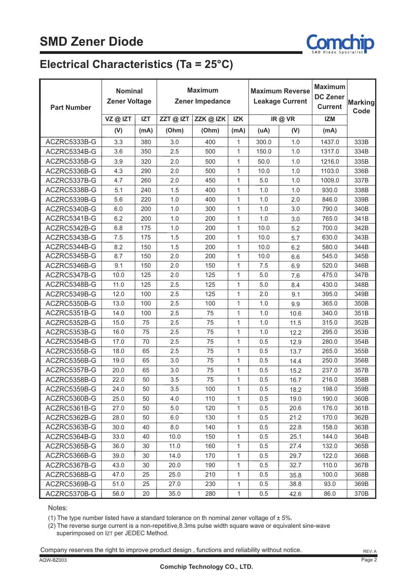

#### **Electrical Characteristics (Ta = 25°C)**

| <b>Part Number</b> | <b>Nominal</b><br><b>Zener Voltage</b> |            | <b>Maximum</b><br><b>Maximum Reverse</b><br>Zener Impedance<br><b>Leakage Current</b> |         |              | <b>Maximum</b><br><b>DC Zener</b><br><b>Current</b> | <b>Marking</b><br>Code |            |      |
|--------------------|----------------------------------------|------------|---------------------------------------------------------------------------------------|---------|--------------|-----------------------------------------------------|------------------------|------------|------|
|                    | VZ@IZT                                 | <b>IZT</b> | $ZZT@$ IZT                                                                            | ZZK@IZK | <b>IZK</b>   |                                                     | IR@VR                  | <b>IZM</b> |      |
|                    | (V)                                    | (mA)       | (Ohm)                                                                                 | (Ohm)   | (mA)         | (uA)                                                | (V)                    | (mA)       |      |
| ACZRC5333B-G       | 3.3                                    | 380        | 3.0                                                                                   | 400     | 1            | 300.0                                               | 1.0                    | 1437.0     | 333B |
| ACZRC5334B-G       | 3.6                                    | 350        | 2.5                                                                                   | 500     | $\mathbf{1}$ | 150.0                                               | 1.0                    | 1317.0     | 334B |
| ACZRC5335B-G       | 3.9                                    | 320        | 2.0                                                                                   | 500     | $\mathbf{1}$ | 50.0                                                | 1.0                    | 1216.0     | 335B |
| ACZRC5336B-G       | 4.3                                    | 290        | 2.0                                                                                   | 500     | $\mathbf{1}$ | 10.0                                                | 1.0                    | 1103.0     | 336B |
| ACZRC5337B-G       | 4.7                                    | 260        | 2.0                                                                                   | 450     | $\mathbf{1}$ | 5.0                                                 | 1.0                    | 1009.0     | 337B |
| ACZRC5338B-G       | 5.1                                    | 240        | 1.5                                                                                   | 400     | $\mathbf{1}$ | 1.0                                                 | 1.0                    | 930.0      | 338B |
| ACZRC5339B-G       | 5.6                                    | 220        | 1.0                                                                                   | 400     | $\mathbf{1}$ | 1.0                                                 | 2.0                    | 846.0      | 339B |
| ACZRC5340B-G       | 6.0                                    | 200        | 1.0                                                                                   | 300     | $\mathbf{1}$ | 1.0                                                 | 3.0                    | 790.0      | 340B |
| ACZRC5341B-G       | 6.2                                    | 200        | 1.0                                                                                   | 200     | $\mathbf{1}$ | 1.0                                                 | 3.0                    | 765.0      | 341B |
| ACZRC5342B-G       | 6.8                                    | 175        | 1.0                                                                                   | 200     | $\mathbf{1}$ | 10.0                                                | 5.2                    | 700.0      | 342B |
| ACZRC5343B-G       | 7.5                                    | 175        | 1.5                                                                                   | 200     | $\mathbf{1}$ | 10.0                                                | 5.7                    | 630.0      | 343B |
| ACZRC5344B-G       | 8.2                                    | 150        | 1.5                                                                                   | 200     | $\mathbf{1}$ | 10.0                                                | 6.2                    | 580.0      | 344B |
| ACZRC5345B-G       | 8.7                                    | 150        | 2.0                                                                                   | 200     | $\mathbf{1}$ | 10.0                                                | 6.6                    | 545.0      | 345B |
| ACZRC5346B-G       | 9.1                                    | 150        | 2.0                                                                                   | 150     | $\mathbf{1}$ | 7.5                                                 | 6.9                    | 520.0      | 346B |
| ACZRC5347B-G       | 10.0                                   | 125        | 2.0                                                                                   | 125     | $\mathbf{1}$ | 5.0                                                 | 7.6                    | 475.0      | 347B |
| ACZRC5348B-G       | 11.0                                   | 125        | 2.5                                                                                   | 125     | $\mathbf{1}$ | 5.0                                                 | 8.4                    | 430.0      | 348B |
| ACZRC5349B-G       | 12.0                                   | 100        | 2.5                                                                                   | 125     | $\mathbf{1}$ | 2.0                                                 | 9.1                    | 395.0      | 349B |
| ACZRC5350B-G       | 13.0                                   | 100        | 2.5                                                                                   | 100     | $\mathbf{1}$ | 1.0                                                 | 9.9                    | 365.0      | 350B |
| ACZRC5351B-G       | 14.0                                   | 100        | 2.5                                                                                   | 75      | $\mathbf{1}$ | 1.0                                                 | 10.6                   | 340.0      | 351B |
| ACZRC5352B-G       | 15.0                                   | 75         | 2.5                                                                                   | 75      | $\mathbf{1}$ | 1.0                                                 | 11.5                   | 315.0      | 352B |
| ACZRC5353B-G       | 16.0                                   | 75         | 2.5                                                                                   | 75      | $\mathbf{1}$ | 1.0                                                 | 12.2                   | 295.0      | 353B |
| ACZRC5354B-G       | 17.0                                   | 70         | 2.5                                                                                   | 75      | $\mathbf{1}$ | 0.5                                                 | 12.9                   | 280.0      | 354B |
| ACZRC5355B-G       | 18.0                                   | 65         | 2.5                                                                                   | 75      | $\mathbf{1}$ | 0.5                                                 | 13.7                   | 265.0      | 355B |
| ACZRC5356B-G       | 19.0                                   | 65         | 3.0                                                                                   | 75      | $\mathbf{1}$ | 0.5                                                 | 14.4                   | 250.0      | 356B |
| ACZRC5357B-G       | 20.0                                   | 65         | 3.0                                                                                   | 75      | $\mathbf{1}$ | 0.5                                                 | 15.2                   | 237.0      | 357B |
| ACZRC5358B-G       | 22.0                                   | 50         | 3.5                                                                                   | 75      | $\mathbf{1}$ | 0.5                                                 | 16.7                   | 216.0      | 358B |
| ACZRC5359B-G       | 24.0                                   | 50         | 3.5                                                                                   | 100     | 1            | 0.5                                                 | 18.2                   | 198.0      | 359B |
| ACZRC5360B-G       | 25.0                                   | 50         | 4.0                                                                                   | 110     | 1            | 0.5                                                 | 19.0                   | 190.0      | 360B |
| ACZRC5361B-G       | 27.0                                   | 50         | 5.0                                                                                   | 120     | 1            | 0.5                                                 | 20.6                   | 176.0      | 361B |
| ACZRC5362B-G       | 28.0                                   | 50         | 6.0                                                                                   | 130     | 1            | 0.5                                                 | 21.2                   | 170.0      | 362B |
| ACZRC5363B-G       | 30.0                                   | 40         | 8.0                                                                                   | 140     | $\mathbf{1}$ | 0.5                                                 | 22.8                   | 158.0      | 363B |
| ACZRC5364B-G       | 33.0                                   | 40         | 10.0                                                                                  | 150     | $\mathbf{1}$ | 0.5                                                 | 25.1                   | 144.0      | 364B |
| ACZRC5365B-G       | 36.0                                   | 30         | 11.0                                                                                  | 160     | 1            | 0.5                                                 | 27.4                   | 132.0      | 365B |
| ACZRC5366B-G       | 39.0                                   | 30         | 14.0                                                                                  | 170     | 1            | 0.5                                                 | 29.7                   | 122.0      | 366B |
| ACZRC5367B-G       | 43.0                                   | 30         | 20.0                                                                                  | 190     | $\mathbf{1}$ | 0.5                                                 | 32.7                   | 110.0      | 367B |
| ACZRC5368B-G       | 47.0                                   | 25         | 25.0                                                                                  | 210     | 1            | 0.5                                                 | 35.8                   | 100.0      | 368B |
| ACZRC5369B-G       | 51.0                                   | 25         | 27.0                                                                                  | 230     | 1            | 0.5                                                 | 38.8                   | 93.0       | 369B |
| ACZRC5370B-G       | 56.0                                   | 20         | 35.0                                                                                  | 280     | 1            | 0.5                                                 | 42.6                   | 86.0       | 370B |

Notes:

(1) The type number listed have a standard tolerance on th nominal zener voltage of  $\pm$  5%.

(2) The reverse surge current is a non-repetitive,8.3ms pulse width square wave or equivalent sine-wave superimposed on IzT per JEDEC Method.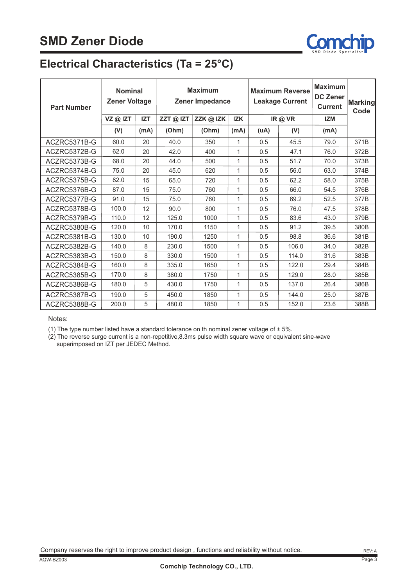

### **Electrical Characteristics (Ta = 25°C)**

| <b>Part Number</b> | <b>Nominal</b><br><b>Zener Voltage</b> |            | <b>Maximum</b><br>Zener Impedance |           | <b>Maximum Reverse</b><br><b>Leakage Current</b> |      | <b>Maximum</b><br><b>DC Zener</b><br><b>Current</b> | <b>Marking</b><br>Code |      |
|--------------------|----------------------------------------|------------|-----------------------------------|-----------|--------------------------------------------------|------|-----------------------------------------------------|------------------------|------|
|                    | VZ@IZT                                 | <b>IZT</b> | ZZT@IZT                           | ZZK @ IZK | <b>IZK</b>                                       |      | IR@VR                                               | <b>IZM</b>             |      |
|                    | (V)                                    | (mA)       | (Ohm)                             | (Ohm)     | (mA)                                             | (uA) | (V)                                                 | (mA)                   |      |
| ACZRC5371B-G       | 60.0                                   | 20         | 40.0                              | 350       | $\mathbf{1}$                                     | 0.5  | 45.5                                                | 79.0                   | 371B |
| ACZRC5372B-G       | 62.0                                   | 20         | 42.0                              | 400       | $\mathbf{1}$                                     | 0.5  | 47.1                                                | 76.0                   | 372B |
| ACZRC5373B-G       | 68.0                                   | 20         | 44.0                              | 500       | 1                                                | 0.5  | 51.7                                                | 70.0                   | 373B |
| ACZRC5374B-G       | 75.0                                   | 20         | 45.0                              | 620       | 1                                                | 0.5  | 56.0                                                | 63.0                   | 374B |
| ACZRC5375B-G       | 82.0                                   | 15         | 65.0                              | 720       | 1                                                | 0.5  | 62.2                                                | 58.0                   | 375B |
| ACZRC5376B-G       | 87.0                                   | 15         | 75.0                              | 760       | $\mathbf{1}$                                     | 0.5  | 66.0                                                | 54.5                   | 376B |
| ACZRC5377B-G       | 91.0                                   | 15         | 75.0                              | 760       | 1                                                | 0.5  | 69.2                                                | 52.5                   | 377B |
| ACZRC5378B-G       | 100.0                                  | 12         | 90.0                              | 800       | $\mathbf{1}$                                     | 0.5  | 76.0                                                | 47.5                   | 378B |
| ACZRC5379B-G       | 110.0                                  | 12         | 125.0                             | 1000      | 1                                                | 0.5  | 83.6                                                | 43.0                   | 379B |
| ACZRC5380B-G       | 120.0                                  | 10         | 170.0                             | 1150      | 1                                                | 0.5  | 91.2                                                | 39.5                   | 380B |
| ACZRC5381B-G       | 130.0                                  | 10         | 190.0                             | 1250      | 1                                                | 0.5  | 98.8                                                | 36.6                   | 381B |
| ACZRC5382B-G       | 140.0                                  | 8          | 230.0                             | 1500      | 1                                                | 0.5  | 106.0                                               | 34.0                   | 382B |
| ACZRC5383B-G       | 150.0                                  | 8          | 330.0                             | 1500      | 1                                                | 0.5  | 114.0                                               | 31.6                   | 383B |
| ACZRC5384B-G       | 160.0                                  | 8          | 335.0                             | 1650      | 1                                                | 0.5  | 122.0                                               | 29.4                   | 384B |
| ACZRC5385B-G       | 170.0                                  | 8          | 380.0                             | 1750      | 1                                                | 0.5  | 129.0                                               | 28.0                   | 385B |
| ACZRC5386B-G       | 180.0                                  | 5          | 430.0                             | 1750      | 1                                                | 0.5  | 137.0                                               | 26.4                   | 386B |
| ACZRC5387B-G       | 190.0                                  | 5          | 450.0                             | 1850      | $\mathbf{1}$                                     | 0.5  | 144.0                                               | 25.0                   | 387B |
| ACZRC5388B-G       | 200.0                                  | 5          | 480.0                             | 1850      | 1                                                | 0.5  | 152.0                                               | 23.6                   | 388B |

Notes:

(1) The type number listed have a standard tolerance on th nominal zener voltage of  $\pm$  5%.

(2) The reverse surge current is a non-repetitive,8.3ms pulse width square wave or equivalent sine-wave superimposed on IZT per JEDEC Method.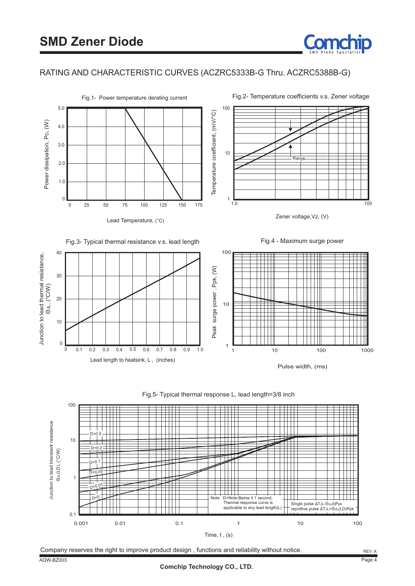

#### RATING AND CHARACTERISTIC CURVES (ACZRC5333B-G Thru. ACZRC5388B-G)



Lead Temperature, (°C)

Fig.2- Temperature coefficients v.s. Zener voltage



Zener voltage,Vz, (V)







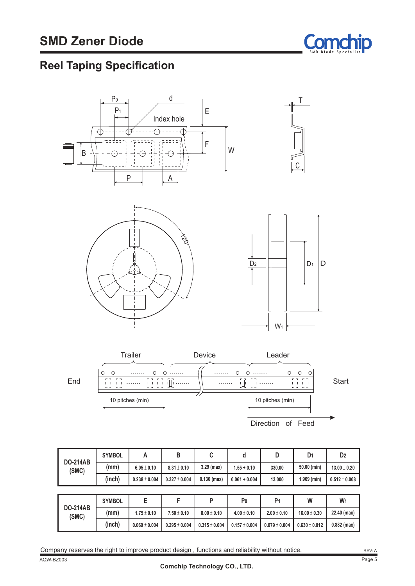

### **Reel Taping Specification**









|                          | <b>SYMBOL</b> | А                 | B                 | C               | d               | D               | D <sub>1</sub>   | D <sub>2</sub>    |
|--------------------------|---------------|-------------------|-------------------|-----------------|-----------------|-----------------|------------------|-------------------|
| <b>DO-214AB</b><br>(SMC) | (mm)          | $6.05 \pm 0.10$   | $8.31 \pm 0.10$   | $3.29$ (max)    | $1.55 + 0.10$   | 330.00          | 50.00 (min)      | $13.00 \pm 0.20$  |
|                          | (inch)        | $0.238 \pm 0.004$ | $0.327 \pm 0.004$ | $0.130$ (max)   | $0.061 + 0.004$ | 13.000          | $1.969$ (min)    | $0.512 \pm 0.008$ |
|                          |               |                   |                   |                 |                 |                 |                  |                   |
|                          |               |                   |                   |                 |                 |                 |                  |                   |
|                          | <b>SYMBOL</b> | E                 | F                 | P               | P <sub>0</sub>  | P <sub>1</sub>  | W                | W <sub>1</sub>    |
| <b>DO-214AB</b><br>(SMC) | (mm)          | $1.75 \pm 0.10$   | $7.50 \pm 0.10$   | $8.00 \pm 0.10$ | $4.00 \pm 0.10$ | $2.00 \pm 0.10$ | $16.00 \pm 0.30$ | 22.40 (max)       |